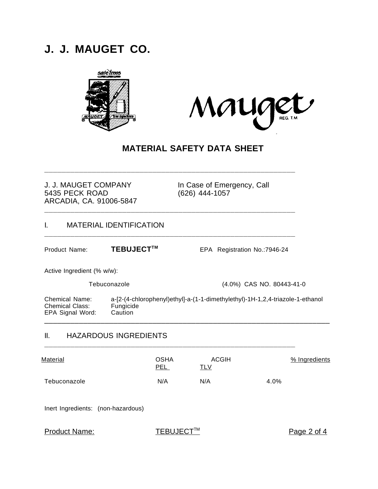# **J. J. MAUGET CO.**





# **MATERIAL SAFETY DATA SHEET**

**\_\_\_\_\_\_\_\_\_\_\_\_\_\_\_\_\_\_\_\_\_\_\_\_\_\_\_\_\_\_\_\_\_\_\_\_\_\_\_\_\_\_\_\_\_\_\_\_\_\_\_\_\_\_\_\_\_\_**

**\_\_\_\_\_\_\_\_\_\_\_\_\_\_\_\_\_\_\_\_\_\_\_\_\_\_\_\_\_\_\_\_\_\_\_\_\_\_\_\_\_\_\_\_\_\_\_\_\_\_\_\_\_\_\_\_\_\_**

#### J. J. MAUGET COMPANY In Case of Emergency, Call 5435 PECK ROAD (626) 444-1057 ARCADIA, CA. 91006-5847

#### I. MATERIAL IDENTIFICATION **\_\_\_\_\_\_\_\_\_\_\_\_\_\_\_\_\_\_\_\_\_\_\_\_\_\_\_\_\_\_\_\_\_\_\_\_\_\_\_\_\_\_\_\_\_\_\_\_\_\_\_\_\_\_\_\_\_\_**

Product Name: **TEBUJECT<sup>™</sup>** EPA Registration No.:7946-24

Active Ingredient (% w/w):

Tebuconazole (4.0%) CAS NO. 80443-41-0

Chemical Name: a-[2-(4-chlorophenyl)ethyl]-a-(1-1-dimethylethyl)-1H-1,2,4-triazole-1-ethanol Chemical Class: EPA Signal Word: Caution \_\_\_\_\_\_\_\_\_\_\_\_\_\_\_\_\_\_\_\_\_\_\_\_\_\_\_\_\_\_\_\_\_\_\_\_\_\_\_\_\_\_\_\_\_\_\_\_\_\_\_\_\_\_\_\_\_\_\_\_\_\_\_\_\_\_

#### II. HAZARDOUS INGREDIENTS

| Material     | OSHA<br>PEL | ACGIH<br><u>TLV</u> | % Ingredients |
|--------------|-------------|---------------------|---------------|
| Tebuconazole | N/A         | N/A                 | 4.0%          |

**\_\_\_\_\_\_\_\_\_\_\_\_\_\_\_\_\_\_\_\_\_\_\_\_\_\_\_\_\_\_\_\_\_\_\_\_\_\_\_\_\_\_\_\_\_\_\_\_\_\_\_\_\_\_\_\_\_\_**

Inert Ingredients: (non-hazardous)

Product Name:

TEBUJECT™

Page 2 of 4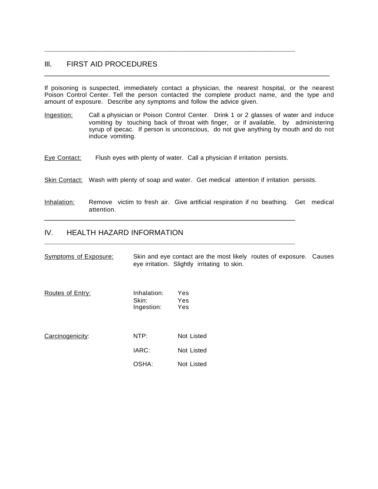#### III. FIRST AID PROCEDURES

If poisoning is suspected, immediately contact a physician, the nearest hospital, or the nearest Poison Control Center. Tell the person contacted the complete product name, and the type and amount of exposure. Describe any symptoms and follow the advice given.

\_\_\_\_\_\_\_\_\_\_\_\_\_\_\_\_\_\_\_\_\_\_\_\_\_\_\_\_\_\_\_\_\_\_\_\_\_\_\_\_\_\_\_\_\_\_\_\_\_\_\_\_\_\_\_\_\_\_\_\_\_\_\_\_\_\_

- Ingestion: Call a physician or Poison Control Center. Drink 1 or 2 glasses of water and induce vomiting by touching back of throat with finger, or if available, by administering syrup of ipecac. If person is unconscious, do not give anything by mouth and do not induce vomiting.
- Eye Contact: Flush eyes with plenty of water. Call a physician if irritation persists.

\_\_\_\_\_\_\_\_\_\_\_\_\_\_\_\_\_\_\_\_\_\_\_\_\_\_\_\_\_\_\_\_\_\_\_\_\_\_\_\_\_\_\_\_\_\_\_\_\_\_\_\_\_\_\_\_\_\_

**\_\_\_\_\_\_\_\_\_\_\_\_\_\_\_\_\_\_\_\_\_\_\_\_\_\_\_\_\_\_\_\_\_\_\_\_\_\_\_\_\_\_\_\_\_\_\_\_\_\_\_\_\_\_\_\_\_\_**

**\_\_\_\_\_\_\_\_\_\_\_\_\_\_\_\_\_\_\_\_\_\_\_\_\_\_\_\_\_\_\_\_\_\_\_\_\_\_\_\_\_\_\_\_\_\_\_\_\_\_\_\_\_\_\_\_\_\_**

- Skin Contact: Wash with plenty of soap and water. Get medical attention if irritation persists.
- Inhalation: Remove victim to fresh air. Give artificial respiration if no beathing. Get medical attention.

#### IV. HEALTH HAZARD INFORMATION

| Symptoms of Exposure: |                                    | Skin and eye contact are the most likely routes of exposure. Causes<br>eye irritation. Slightly irritating to skin. |  |
|-----------------------|------------------------------------|---------------------------------------------------------------------------------------------------------------------|--|
| Routes of Entry:      | Inhalation:<br>Skin:<br>Ingestion: | Yes<br>Yes<br>Yes                                                                                                   |  |
| Carcinogenicity:      | NTP:<br>IARC:<br>OSHA:             | Not Listed<br>Not Listed<br>Not Listed                                                                              |  |
|                       |                                    |                                                                                                                     |  |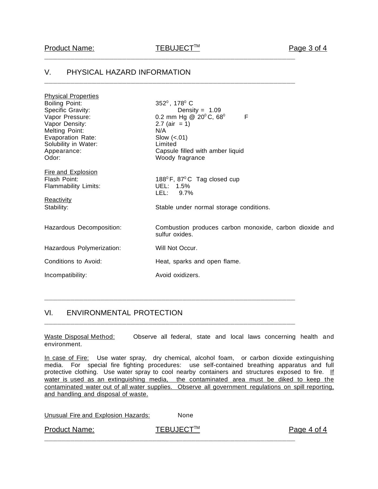**\_\_\_\_\_\_\_\_\_\_\_\_\_\_\_\_\_\_\_\_\_\_\_\_\_\_\_\_\_\_\_\_\_\_\_\_\_\_\_\_\_\_\_\_\_\_\_\_\_\_\_\_\_\_\_\_\_\_**

**\_\_\_\_\_\_\_\_\_\_\_\_\_\_\_\_\_\_\_\_\_\_\_\_\_\_\_\_\_\_\_\_\_\_\_\_\_\_\_\_\_\_\_\_\_\_\_\_\_\_\_\_\_\_\_\_\_\_**

# V. PHYSICAL HAZARD INFORMATION

| <b>Physical Properties</b>                                                                                                                                                    |                                                                                                                                                                                                              |
|-------------------------------------------------------------------------------------------------------------------------------------------------------------------------------|--------------------------------------------------------------------------------------------------------------------------------------------------------------------------------------------------------------|
| <b>Boiling Point:</b><br>Specific Gravity:<br>Vapor Pressure:<br>Vapor Density:<br><b>Melting Point:</b><br>Evaporation Rate:<br>Solubility in Water:<br>Appearance:<br>Odor: | 352 <sup>0</sup> , 178 <sup>0</sup> C<br>Density = $1.09$<br>0.2 mm Hg @ $20^{\circ}$ C, 68°<br>F<br>2.7 (air = 1)<br>N/A<br>Slow $(<.01)$<br>Limited<br>Capsule filled with amber liquid<br>Woody fragrance |
| <b>Fire and Explosion</b><br>Flash Point:<br>Flammability Limits:<br><b>Reactivity</b><br>Stability:                                                                          | 188 ${}^0$ F, 87 ${}^0$ C Tag closed cup<br>UEL: 1.5%<br>LEL: 9.7%<br>Stable under normal storage conditions.                                                                                                |
| Hazardous Decomposition:                                                                                                                                                      | Combustion produces carbon monoxide, carbon dioxide and<br>sulfur oxides.                                                                                                                                    |
| Hazardous Polymerization:                                                                                                                                                     | Will Not Occur.                                                                                                                                                                                              |
| Conditions to Avoid:                                                                                                                                                          | Heat, sparks and open flame.                                                                                                                                                                                 |
| Incompatibility:                                                                                                                                                              | Avoid oxidizers.                                                                                                                                                                                             |
|                                                                                                                                                                               |                                                                                                                                                                                                              |

## VI. ENVIRONMENTAL PROTECTION

Waste Disposal Method: Observe all federal, state and local laws concerning health and environment.

**\_\_\_\_\_\_\_\_\_\_\_\_\_\_\_\_\_\_\_\_\_\_\_\_\_\_\_\_\_\_\_\_\_\_\_\_\_\_\_\_\_\_\_\_\_\_\_\_\_\_\_\_\_\_\_\_\_\_**

**\_\_\_\_\_\_\_\_\_\_\_\_\_\_\_\_\_\_\_\_\_\_\_\_\_\_\_\_\_\_\_\_\_\_\_\_\_\_\_\_\_\_\_\_\_\_\_\_\_\_\_\_\_\_\_\_\_\_**

In case of Fire: Use water spray, dry chemical, alcohol foam, or carbon dioxide extinguishing media. For special fire fighting procedures: use self-contained breathing apparatus and full protective clothing. Use water spray to cool nearby containers and structures exposed to fire. If water is used as an extinguishing media, the contaminated area must be diked to keep the contaminated water out of all water supplies. Observe all government regulations on spill reporting, and handling and disposal of waste.

| Unusual Fire and Explosion Hazards: | None      |             |
|-------------------------------------|-----------|-------------|
| <b>Product Name:</b>                | TEBUJECT™ | Page 4 of 4 |